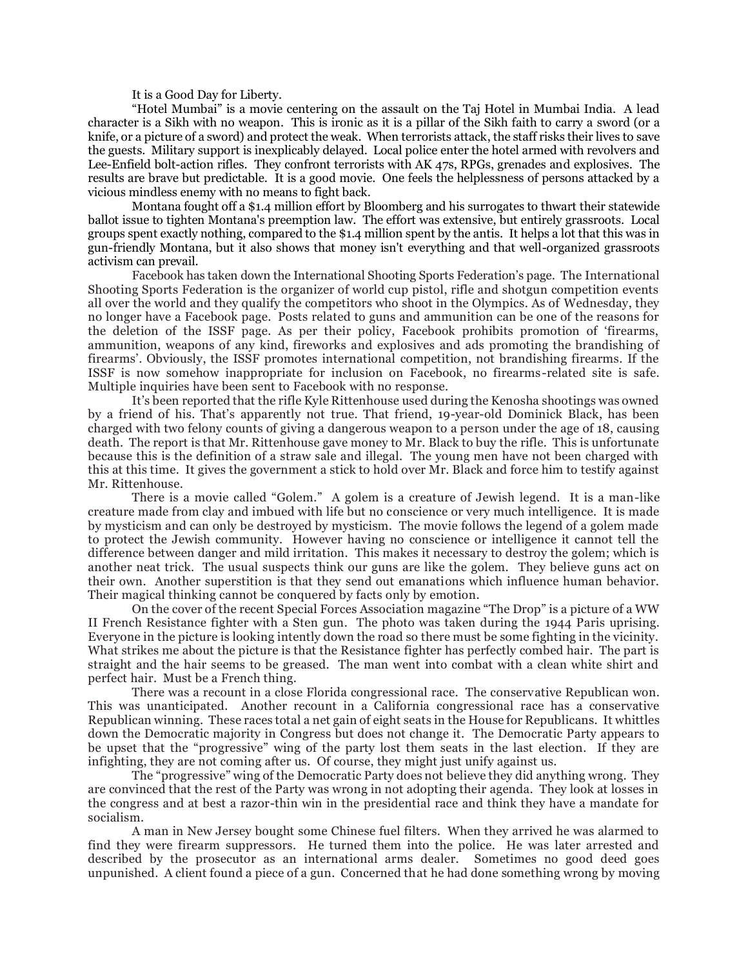It is a Good Day for Liberty.

"Hotel Mumbai" is a movie centering on the assault on the Taj Hotel in Mumbai India. A lead character is a Sikh with no weapon. This is ironic as it is a pillar of the Sikh faith to carry a sword (or a knife, or a picture of a sword) and protect the weak. When terrorists attack, the staff risks their lives to save the guests. Military support is inexplicably delayed. Local police enter the hotel armed with revolvers and Lee-Enfield bolt-action rifles. They confront terrorists with AK 47s, RPGs, grenades and explosives. The results are brave but predictable. It is a good movie. One feels the helplessness of persons attacked by a vicious mindless enemy with no means to fight back.

Montana fought off a \$1.4 million effort by Bloomberg and his surrogates to thwart their statewide ballot issue to tighten Montana's preemption law. The effort was extensive, but entirely grassroots. Local groups spent exactly nothing, compared to the \$1.4 million spent by the antis. It helps a lot that this was in gun-friendly Montana, but it also shows that money isn't everything and that well-organized grassroots activism can prevail.

Facebook has taken down the International Shooting Sports Federation's page. The International Shooting Sports Federation is the organizer of world cup pistol, rifle and shotgun competition events all over the world and they qualify the competitors who shoot in the Olympics. As of Wednesday, they no longer have a Facebook page. Posts related to guns and ammunition can be one of the reasons for the deletion of the ISSF page. As per their policy, Facebook prohibits promotion of 'firearms, ammunition, weapons of any kind, fireworks and explosives and ads promoting the brandishing of firearms'. Obviously, the ISSF promotes international competition, not brandishing firearms. If the ISSF is now somehow inappropriate for inclusion on Facebook, no firearms-related site is safe. Multiple inquiries have been sent to Facebook with no response.

It's been reported that the rifle Kyle Rittenhouse used during the Kenosha shootings was owned by a friend of his. That's apparently not true. That friend, 19-year-old Dominick Black, has been charged with two felony counts of giving a dangerous weapon to a person under the age of 18, causing death. The report is that Mr. Rittenhouse gave money to Mr. Black to buy the rifle. This is unfortunate because this is the definition of a straw sale and illegal. The young men have not been charged with this at this time. It gives the government a stick to hold over Mr. Black and force him to testify against Mr. Rittenhouse.

There is a movie called "Golem." A golem is a creature of Jewish legend. It is a man-like creature made from clay and imbued with life but no conscience or very much intelligence. It is made by mysticism and can only be destroyed by mysticism. The movie follows the legend of a golem made to protect the Jewish community. However having no conscience or intelligence it cannot tell the difference between danger and mild irritation. This makes it necessary to destroy the golem; which is another neat trick. The usual suspects think our guns are like the golem. They believe guns act on their own. Another superstition is that they send out emanations which influence human behavior. Their magical thinking cannot be conquered by facts only by emotion.

On the cover of the recent Special Forces Association magazine "The Drop" is a picture of a WW II French Resistance fighter with a Sten gun. The photo was taken during the 1944 Paris uprising. Everyone in the picture is looking intently down the road so there must be some fighting in the vicinity. What strikes me about the picture is that the Resistance fighter has perfectly combed hair. The part is straight and the hair seems to be greased. The man went into combat with a clean white shirt and perfect hair. Must be a French thing.

There was a recount in a close Florida congressional race. The conservative Republican won. This was unanticipated. Another recount in a California congressional race has a conservative Republican winning. These races total a net gain of eight seats in the House for Republicans. It whittles down the Democratic majority in Congress but does not change it. The Democratic Party appears to be upset that the "progressive" wing of the party lost them seats in the last election. If they are infighting, they are not coming after us. Of course, they might just unify against us.

The "progressive" wing of the Democratic Party does not believe they did anything wrong. They are convinced that the rest of the Party was wrong in not adopting their agenda. They look at losses in the congress and at best a razor-thin win in the presidential race and think they have a mandate for socialism.

A man in New Jersey bought some Chinese fuel filters. When they arrived he was alarmed to find they were firearm suppressors. He turned them into the police. He was later arrested and described by the prosecutor as an international arms dealer. Sometimes no good deed goes unpunished. A client found a piece of a gun. Concerned that he had done something wrong by moving